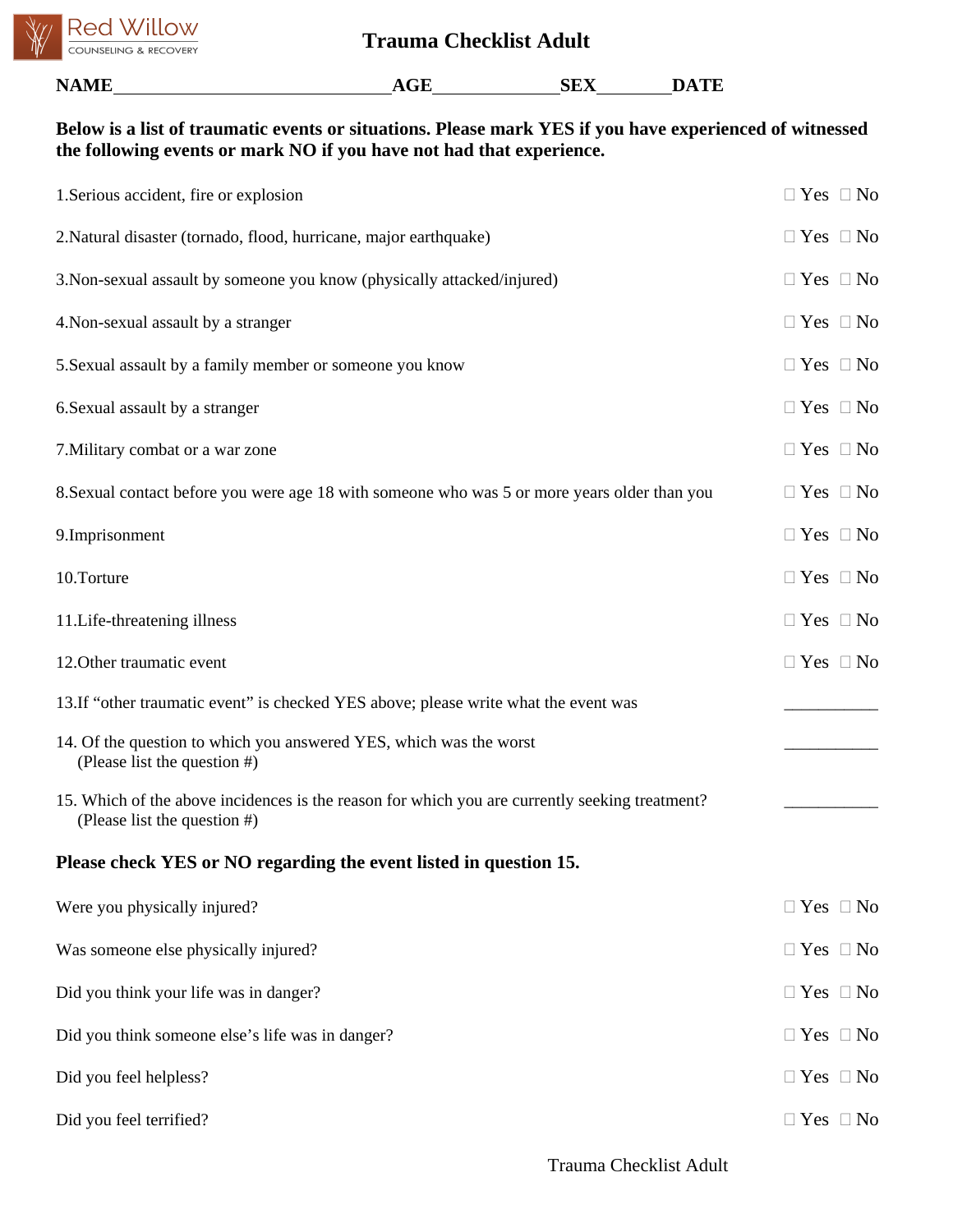

| Below is a list of traumatic events or situations. Please mark YES if you have experienced of witnessed<br>the following events or mark NO if you have not had that experience. |                      |  |  |  |  |
|---------------------------------------------------------------------------------------------------------------------------------------------------------------------------------|----------------------|--|--|--|--|
| 1. Serious accident, fire or explosion                                                                                                                                          | $\Box$ Yes $\Box$ No |  |  |  |  |
| 2. Natural disaster (tornado, flood, hurricane, major earthquake)                                                                                                               | $\Box$ Yes $\Box$ No |  |  |  |  |
| 3. Non-sexual assault by someone you know (physically attacked/injured)                                                                                                         | $\Box$ Yes $\Box$ No |  |  |  |  |
| 4. Non-sexual assault by a stranger                                                                                                                                             | $\Box$ Yes $\Box$ No |  |  |  |  |
| 5. Sexual assault by a family member or someone you know                                                                                                                        | $\Box$ Yes $\Box$ No |  |  |  |  |
| 6. Sexual assault by a stranger                                                                                                                                                 | $\Box$ Yes $\Box$ No |  |  |  |  |
| 7. Military combat or a war zone                                                                                                                                                | $\Box$ Yes $\Box$ No |  |  |  |  |
| 8. Sexual contact before you were age 18 with someone who was 5 or more years older than you                                                                                    | $\Box$ Yes $\Box$ No |  |  |  |  |
| 9.Imprisonment                                                                                                                                                                  | $\Box$ Yes $\Box$ No |  |  |  |  |
| 10.Torture                                                                                                                                                                      | $\Box$ Yes $\Box$ No |  |  |  |  |
| 11. Life-threatening illness                                                                                                                                                    | $\Box$ Yes $\Box$ No |  |  |  |  |
| 12. Other traumatic event                                                                                                                                                       | $\Box$ Yes $\Box$ No |  |  |  |  |
| 13. If "other traumatic event" is checked YES above; please write what the event was                                                                                            |                      |  |  |  |  |
| 14. Of the question to which you answered YES, which was the worst<br>(Please list the question $#$ )                                                                           |                      |  |  |  |  |
| 15. Which of the above incidences is the reason for which you are currently seeking treatment?<br>(Please list the question #)                                                  |                      |  |  |  |  |
| Please check YES or NO regarding the event listed in question 15.                                                                                                               |                      |  |  |  |  |
| Were you physically injured?                                                                                                                                                    | $\Box$ Yes $\Box$ No |  |  |  |  |
| Was someone else physically injured?                                                                                                                                            | $\Box$ Yes $\Box$ No |  |  |  |  |
| Did you think your life was in danger?                                                                                                                                          | $\Box$ Yes $\Box$ No |  |  |  |  |
| Did you think someone else's life was in danger?                                                                                                                                | $\Box$ Yes $\Box$ No |  |  |  |  |
| Did you feel helpless?                                                                                                                                                          | $\Box$ Yes $\Box$ No |  |  |  |  |

Did you feel terrified?  $\Box$  Yes  $\Box$  No

Trauma Checklist Adult